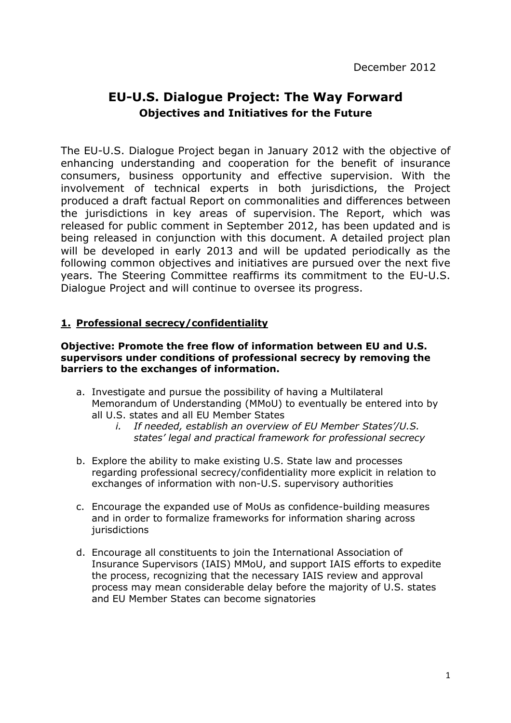# **EU-U.S. Dialogue Project: The Way Forward Objectives and Initiatives for the Future**

The EU-U.S. Dialogue Project began in January 2012 with the objective of enhancing understanding and cooperation for the benefit of insurance consumers, business opportunity and effective supervision. With the involvement of technical experts in both jurisdictions, the Project produced a draft factual Report on commonalities and differences between the jurisdictions in key areas of supervision. The Report, which was released for public comment in September 2012, has been updated and is being released in conjunction with this document. A detailed project plan will be developed in early 2013 and will be updated periodically as the following common objectives and initiatives are pursued over the next five years. The Steering Committee reaffirms its commitment to the EU-U.S. Dialogue Project and will continue to oversee its progress.

## **1. Professional secrecy/confidentiality**

#### **Objective: Promote the free flow of information between EU and U.S. supervisors under conditions of professional secrecy by removing the barriers to the exchanges of information.**

- a. Investigate and pursue the possibility of having a Multilateral Memorandum of Understanding (MMoU) to eventually be entered into by all U.S. states and all EU Member States
	- *i. If needed, establish an overview of EU Member States'/U.S. states' legal and practical framework for professional secrecy*
- b. Explore the ability to make existing U.S. State law and processes regarding professional secrecy/confidentiality more explicit in relation to exchanges of information with non-U.S. supervisory authorities
- c. Encourage the expanded use of MoUs as confidence-building measures and in order to formalize frameworks for information sharing across jurisdictions
- d. Encourage all constituents to join the International Association of Insurance Supervisors (IAIS) MMoU, and support IAIS efforts to expedite the process, recognizing that the necessary IAIS review and approval process may mean considerable delay before the majority of U.S. states and EU Member States can become signatories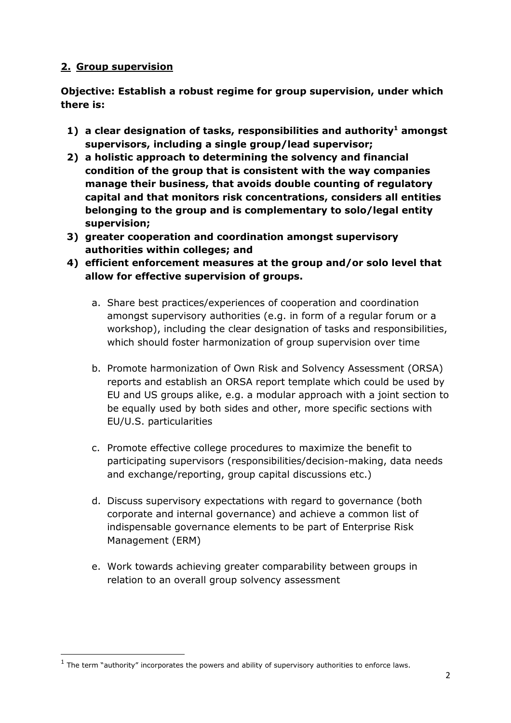## **2. Group supervision**

l

**Objective: Establish a robust regime for group supervision, under which there is:** 

- **1) a clear designation of tasks, responsibilities and authority<sup>1</sup> amongst supervisors, including a single group/lead supervisor;**
- **2) a holistic approach to determining the solvency and financial condition of the group that is consistent with the way companies manage their business, that avoids double counting of regulatory capital and that monitors risk concentrations, considers all entities belonging to the group and is complementary to solo/legal entity supervision;**
- **3) greater cooperation and coordination amongst supervisory authorities within colleges; and**
- **4) efficient enforcement measures at the group and/or solo level that allow for effective supervision of groups.** 
	- a. Share best practices/experiences of cooperation and coordination amongst supervisory authorities (e.g. in form of a regular forum or a workshop), including the clear designation of tasks and responsibilities, which should foster harmonization of group supervision over time
	- b. Promote harmonization of Own Risk and Solvency Assessment (ORSA) reports and establish an ORSA report template which could be used by EU and US groups alike, e.g. a modular approach with a joint section to be equally used by both sides and other, more specific sections with EU/U.S. particularities
	- c. Promote effective college procedures to maximize the benefit to participating supervisors (responsibilities/decision-making, data needs and exchange/reporting, group capital discussions etc.)
	- d. Discuss supervisory expectations with regard to governance (both corporate and internal governance) and achieve a common list of indispensable governance elements to be part of Enterprise Risk Management (ERM)
	- e. Work towards achieving greater comparability between groups in relation to an overall group solvency assessment

 $<sup>1</sup>$  The term "authority" incorporates the powers and ability of supervisory authorities to enforce laws.</sup>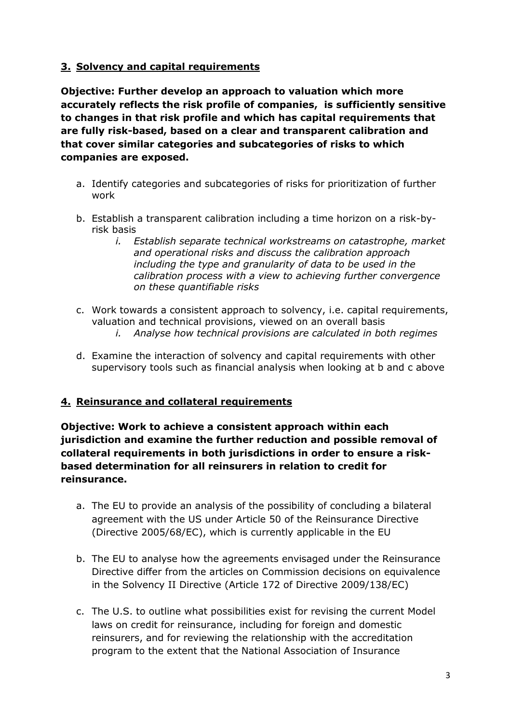## **3. Solvency and capital requirements**

**Objective: Further develop an approach to valuation which more accurately reflects the risk profile of companies, is sufficiently sensitive to changes in that risk profile and which has capital requirements that are fully riskbased, based on a clear and transparent calibration and that cover similar categories and subcategories of risks to which companies are exposed.** 

- a. Identify categories and subcategories of risks for prioritization of further work
- b. Establish a transparent calibration including a time horizon on a risk-byrisk basis
	- *i. Establish separate technical workstreams on catastrophe, market and operational risks and discuss the calibration approach including the type and granularity of data to be used in the calibration process with a view to achieving further convergence on these quantifiable risks*
- c. Work towards a consistent approach to solvency, i.e. capital requirements, valuation and technical provisions, viewed on an overall basis
	- *i. Analyse how technical provisions are calculated in both regimes*
- d. Examine the interaction of solvency and capital requirements with other supervisory tools such as financial analysis when looking at b and c above

### **4. Reinsurance and collateral requirements**

**Objective: Work to achieve a consistent approach within each jurisdiction and examine the further reduction and possible removal of collateral requirements in both jurisdictions in order to ensure a risk based determination for all reinsurers in relation to credit for reinsurance.** 

- a. The EU to provide an analysis of the possibility of concluding a bilateral agreement with the US under Article 50 of the Reinsurance Directive (Directive 2005/68/EC), which is currently applicable in the EU
- b. The EU to analyse how the agreements envisaged under the Reinsurance Directive differ from the articles on Commission decisions on equivalence in the Solvency II Directive (Article 172 of Directive 2009/138/EC)
- c. The U.S. to outline what possibilities exist for revising the current Model laws on credit for reinsurance, including for foreign and domestic reinsurers, and for reviewing the relationship with the accreditation program to the extent that the National Association of Insurance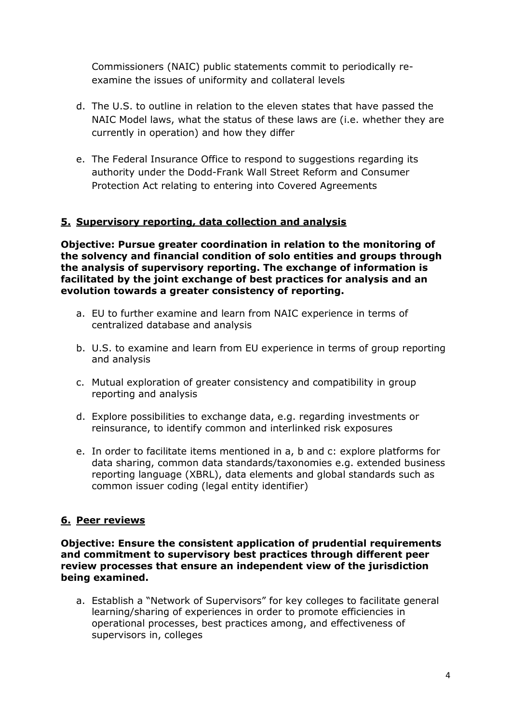Commissioners (NAIC) public statements commit to periodically re examine the issues of uniformity and collateral levels

- d. The U.S. to outline in relation to the eleven states that have passed the NAIC Model laws, what the status of these laws are (i.e. whether they are currently in operation) and how they differ
- e. The Federal Insurance Office to respond to suggestions regarding its authority under the Dodd-Frank Wall Street Reform and Consumer Protection Act relating to entering into Covered Agreements

### **5. Supervisory reporting, data collection and analysis**

**Objective: Pursue greater coordination in relation to the monitoring of the solvency and financial condition of solo entities and groups through the analysis of supervisory reporting. The exchange of information is facilitated by the joint exchange of best practices for analysis and an evolution towards a greater consistency of reporting.** 

- a. EU to further examine and learn from NAIC experience in terms of centralized database and analysis
- b. U.S. to examine and learn from EU experience in terms of group reporting and analysis
- c. Mutual exploration of greater consistency and compatibility in group reporting and analysis
- d. Explore possibilities to exchange data, e.g. regarding investments or reinsurance, to identify common and interlinked risk exposures
- e. In order to facilitate items mentioned in a, b and c: explore platforms for data sharing, common data standards/taxonomies e.g. extended business reporting language (XBRL), data elements and global standards such as common issuer coding (legal entity identifier)

# **6. Peer reviews**

**Objective: Ensure the consistent application of prudential requirements and commitment to supervisory best practices through different peer review processes that ensure an independent view of the jurisdiction being examined.** 

a. Establish a "Network of Supervisors" for key colleges to facilitate general learning/sharing of experiences in order to promote efficiencies in operational processes, best practices among, and effectiveness of supervisors in, colleges